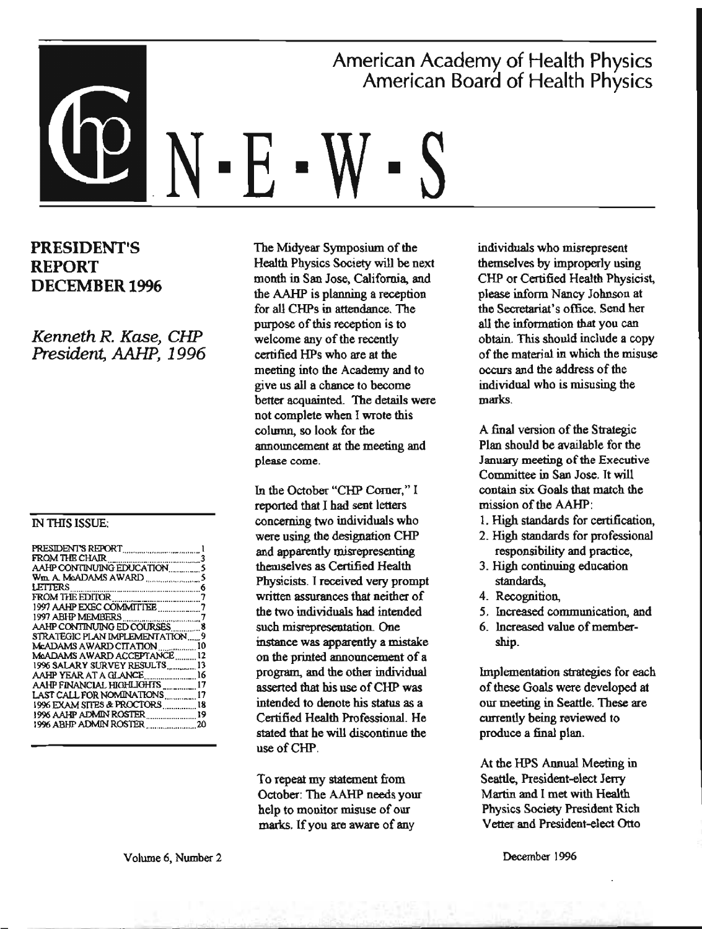# American Academy of Health Physics American Board of Health Physics N - F

## PRESIDENT'S **REPORT DECEMBER 1996**

Kenneth R. Kase, CHP President, AAHP, 1996

#### **IN THIS ISSUE:**

| AAHP CONTINUING ED COURSES8      |    |
|----------------------------------|----|
| STRATEGIC PLAN IMPLEMENTATION 9  |    |
| McADAMS AWARD CITATION  10       |    |
| MaADAMS AWARD ACCEPTANCE         | 12 |
| 1996 SALARY SURVEY RESULTS       | 13 |
| AAHP YEAR AT A GLANCE  16        |    |
| AAHP FINANCIAL HIGHLIGHTS __ 17  |    |
| LAST CALL FOR NOMINATIONS ,   17 |    |
| 1996 EXAM SITES & PROCTORS18     |    |
|                                  |    |
|                                  |    |
|                                  |    |

The Midvear Symposium of the Health Physics Society will be next month in San Jose, California, and the AAHP is planning a reception for all CHPs in attendance. The purpose of this reception is to welcome any of the recently certified HPs who are at the meeting into the Academy and to give us all a chance to become better acquainted. The details were not complete when I wrote this column, so look for the announcement at the meeting and please come.

In the October "CHP Corner." I reported that I had sent letters concerning two individuals who were using the designation CHP and apparently misrepresenting themselves as Certified Health Physicists. I received very prompt written assurances that neither of the two individuals had intended such misrepresentation. One instance was apparently a mistake on the printed announcement of a program, and the other individual asserted that his use of CHP was intended to denote his status as a Certified Health Professional, He stated that he will discontinue the use of CHP.

To repeat my statement from October: The AAHP needs your help to monitor misuse of our marks. If you are aware of any

individuals who misrepresent themselves by improperly using CHP or Certified Health Physicist. please inform Nancy Johnson at the Secretariat's office. Send her all the information that you can obtain. This should include a copy of the material in which the misuse occurs and the address of the individual who is misusing the marks.

A final version of the Strategic Plan should be available for the January meeting of the Executive Committee in San Jose. It will contain six Goals that match the mission of the AAHP:

- 1. High standards for certification.
- 2. High standards for professional responsibility and practice.
- 3. High continuing education standards.
- 4. Recognition.
- 5. Increased communication, and
- 6. Increased value of membership.

Implementation strategies for each of these Goals were developed at our meeting in Seattle. These are currently being reviewed to produce a final plan.

At the HPS Annual Meeting in Seattle, President-elect Jerry Martin and I met with Health **Physics Society President Rich** Vetter and President-elect Otto

December 1996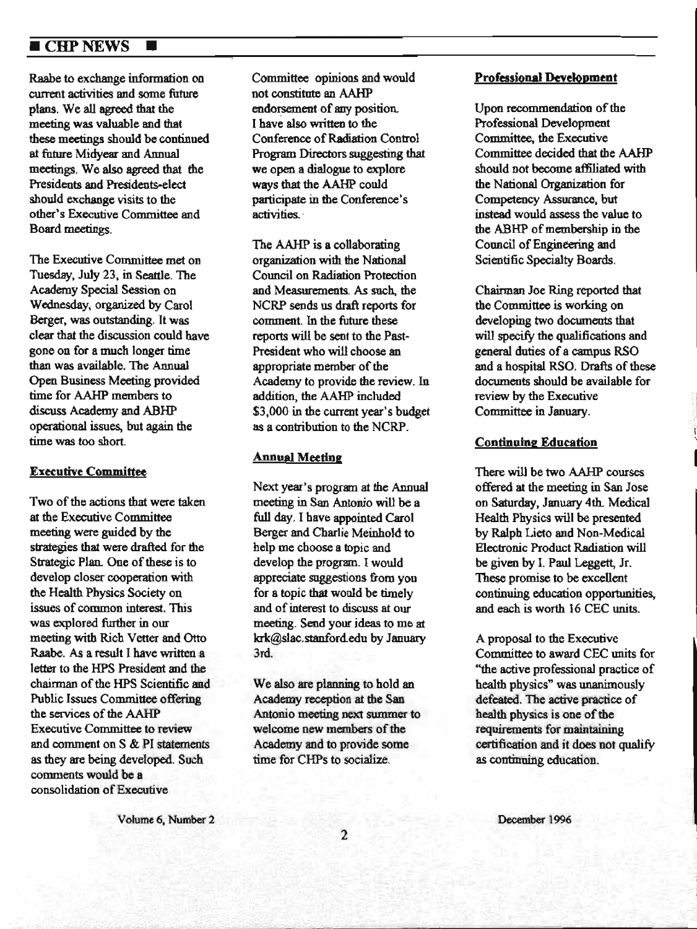## ■ CHP NEWS ■

Raabe to exchange information on current activities and some future plans. We all agreed that the meeting was valuable and that these meetings should be continued at future Midyear and Annual meetings. We also agreed that the Presidents and Presidents-elect should exchange visits to the other's Executive Committee and Board meetings.

The Executive Committee met on Tuesday, July 23, in Seattle. The Academy Special Session on Wednesday, organized by Carol Berger, was outstanding. It was clear that the discussion could have gone on for a nwch longer time than was available. The Annual Open Business Meeting provided time for AAHP members to discuss Academy and ABHP operational issues, but again the time was too short.

#### **Executive Committee**

Two of the actions that were taken at the Executive Committee meeting were guided by the strategies that were drafted for the Strategic Plan. One of these is to develop closer cooperation with the Health Physics Society on issues of common interest. This was explored further in our meeting with Rich Vetter and Otto Raabe. As a result I have written a letter to the HPS President and the chairman of the HPS Scientific and Public Issues Committee offering the services of the AAHP Executive Committee to review and comment on S & Pl statements as they are being developed. Such connnents would be a, consolidation of Executive

Committee opinioos and would not constitute an AAHP endorsement of any position. I have also written to the Conference of Radiation Control Program Directors suggesting that we open a dialogue to explore ways that the AAHP could participate in the Conference's activities.

The AAHP is a collaborating organization with the National Council on Radiation Protection and Measurements. As such, the NCRP sends us draft reports for comment. In the future these reports will be sent to the Past-President who will choose an appropriate member of the Academy to provide the review. In addition, the AAHP included \$3,000 in the current year's budget as a contribution to the NCRP.

#### **Annual Meeting**

Next year's program at the Annual meeting in San Antonio will be a full day. I have appointed Carol Berger and Charlie Meinho1d to help me choose a topic and develop the program. I would appreciate suggestions from you for a topic that would be timely and of interest to discuss at our meeting. Send your ideas to me at krk@slac.stanford.edu by January 3rd.

We also are planning to hold an Academy reception at the San Antonio meeting next summer to welcome new members of the Academy and to provide some time for CHPs to socialize.

#### **Professional Development**

Upon recommendation of the Professional Development Committee. the Executive Committee decided that the AAHP should not become affiliated with the National Organization for Competency Assurance, but instead would assess the value to the ABHP of membership in the Council of Engineering and Scientific Specialty Boards.

Chairman Joe Ring reported that the Committee is working on developing two documents that will specify the qualifications and general duties of a campus RSO and a hospital RSO. Drafts of these documents should be available for review by the Executive Committee in January.

#### **Continuing Education**

There wil) be two AAHP courses offered at the meeting in San Jose on Saturday, January 4th. Medical Health Physics will be presented by Ralph Lieto and Non-Medical Electronic Product Radiation will be given by l. Paul Leggett, Jr. These promise to be excellent continuing education opportunities, and each is worth 16 CEC units.

A proposal to the Executive Committee to award CEC units for "the active professional practice of health physics" was unanimously defeated. The active practice of health physics is one of the requirements for maintaining certification and it does not qualify as continning education.

Volume 6, Number 2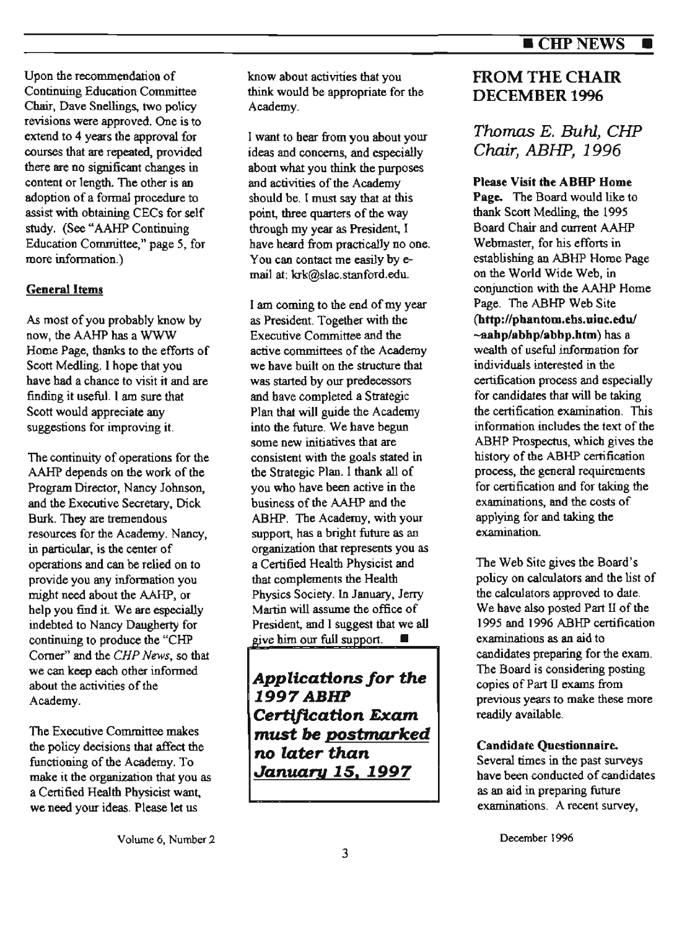Upon the recommendation of Continuing Education Committee Chair, Dave Snellings, two policy revisions were approved. One is to extend to 4 years the approval for courses that are repeated. provided there are no significant changes in content or length. The other is an adoption of a formal procedure to assist with obtaining CECs for self study. (See "AAHP Continuing Education Committee," page *5,* for more information.)

## **General Items**

As most of you probably know by now, the AAHP has a WWW Home Page, thanks to the efforts of Scott Medling. I hope that you have bad a chance to visit it and are finding it useful. I am sure that Scott would appreciate any suggestions for improving it.

The continuity of operations for the AAHP depends on the work of the Program Director, Nancy Johnson, and the Executive Secretary, Dick Burk. They are tremendous resources for the Academy. Nancy, in particular, is the center of operations and can be relied on to provide you any information you might need about the AAHP, or help you find it We are especially indebted to Nancy Daugherty for continuing to produce the "CHP Corner" and the *CHP News,* so that we can keep each other informed about the activities of the Academy.

The Executive Committee makes the policy decisions that affect the functioning of the Academy. To make it the organization that you as a Certified Health Physicist want. we need your ideas. Please let us

know about activities that you think would be appropriate for the Academy.

l want to hear from you about your ideas and concerns, and especially about what you think the purposes and activities of the Academy should be. I must say that at this point, three quarters of the way through my year as President, I have heard from practically no one. You can contact me easily by email at: krk@slac.stanford.edu.

I am coming to the end of my year as President. Together with the Executive Committee and the active committees of the Academy we have built on the structure that was started by our predecessors and have completed a Strategic Plan that will guide the Academy into the future. We have begun some new initiatives that are consistent with the goals stated in the Strategic Plan. l thank all of you who have been active in the business of the AAHP and the ABHP. The Academy, with your support, has a bright future as an organization that represents you as a Certified Health Physicist and that complements the Health Physics Society. In January, Jerry Martin will assume the office of President, and I suggest that we all give him our full support.  $\blacksquare$ 

*Applications for* **the 1997ABHP**  *Certification Exam* **must be postmarked**  *no later than January* **15, 1997** 

## FROM THE CHAIR DECEMBER 1996

## Thomas E. Buhl, CHP Chair, ABHP, 1996

## **Please Visit the ABBP Home**

**Page.** The Board would like to thank Scott Medling. the 1995 Board Chair and current AAHP Webmaster, for his efforts in establishing an ABHP Home Page on the World Wide Web, in conjunction with the AAHP Home Page. The ABHP Web Site **(http://pbantom.ehs.uiuc.edu/ -aahp/abhp/abbp.htm)** has a wealth of useful information for individuals interested in the certification process and especially for candidates that will be taking the certification examination. This information includes the text of the ABHP Prospectus, which gives the history of the ABHP certification process, the general requirements for certification and for taking the examinations, and the costs of applying for and taking the examination.

The Web Site gives the Board's policy on calculators and the list of the calculators approved to date. We have also posted Part 11 of the 1995 and 1996 ABHP certification examinations as an aid to candidates preparing for the exam. The Board is considering posting copies of Part D exams from previous years to make these more readily available.

## **Candidate Questionnaire.**

Several times in the past surveys have been conducted of candidates as an aid in preparing future examinations. A recent survey,

December 1996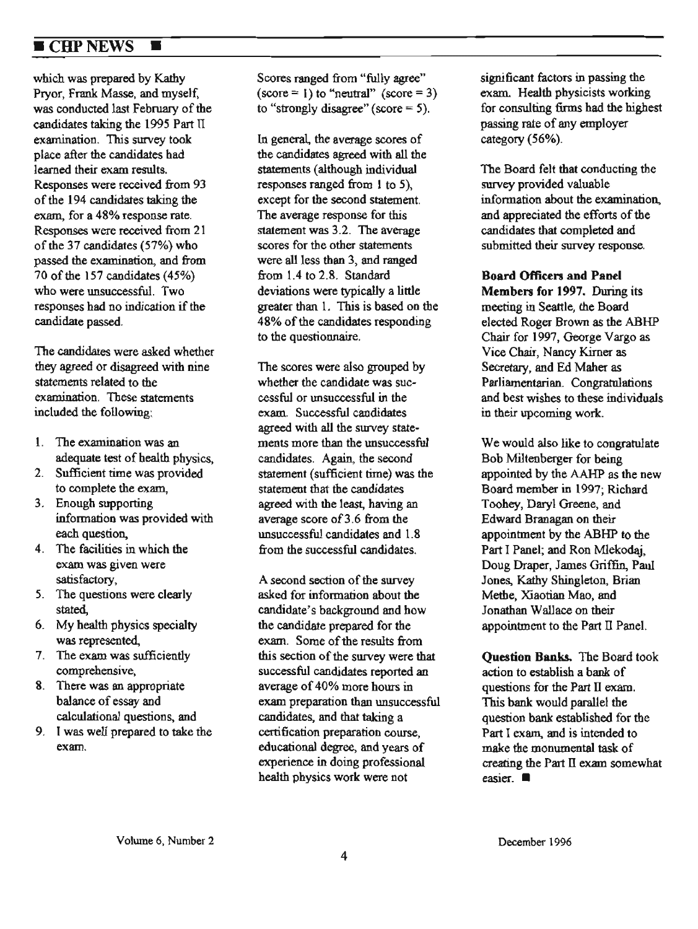## **EXAMPLEMENTS**

which was prepared by Kathy Piyor, Frank Masse, and myself, was conducted last February of the candidates taking the 1995 Part TI examination. This survey took place after the candidates had learned their exam results. Responses were received from 93 of the 194 candidates talcing the exam, for a 48% response rate. Responses were reccived from 21 of the 37 candidates (57%) who passed the examination, and from 70 of the 157 candidates (45%) who were unsuccessful. Two responses had no indication if the candidate passed.

The candidates were asked whether they agreed or disagreed with nine statements related to the examination. These statements included the following:

- 1. The examination was an adequate test of health physics,
- 2. Sufficient time was provided to complete the exam,
- 3. Enough supporting information was provided with each question,
- 4. The facilities in which the exam was given were satisfactory,
- S. The questions were clearly stated,
- 6. My health physics specialty was represented.
- 7. The exam was sufficiently comprehensive,
- 8. There was an appropriate balance of essay and calculational questions, and
- 9. I was well prepared to take the exam.

Scores ranged from "fully agree"  $(\text{score} = 1)$  to "neutral"  $(\text{score} = 3)$ to "strongly disagree" (score  $= 5$ ).

In general. the average scores of the candidates agreed with all the statements (although individual responses ranged from 1 to 5), except for the second statement. The average response for this statement was 3.2. The average scores for the other statements were all less than 3, and ranged from 1.4 to 2.8. Standard deviations were typically a little greater than l. This is based oo the 48% of the candidates responding to the questionnaire.

The scores were also grouped by whether the candidate was successful or unsuccessful in the exam. Successful candidates agreed with all the swvey statements more than the unsuccessful candidates. Again, the second statement (sufficient time) was the statement that the candidates agreed with the least, having an average score of 3.6 from the unsuccessful candidates and 1.8 from the successful candidates.

A second section of the survey asked for information about the candidate's background and how the candidate prepared for the exam. Some of the results from this section of the swvey were that successful candidates reported an average of 40% more hours in exam preparation than unsuccessful candidates, and that taking a certification preparation course, educational degree, and years of experience in doing professional health physics work were not

significant factors in passing the exam. Health physicists working for consulting finns had the highest passing rate of any employer category (56%).

The Board felt that conducting the survey provided valuable information about the examination., and appreciated the efforts of the candidates that completed and submitted their survey response.

**Board Officen and Panel Members for 1997.** During its meeting in Seattle, the Board elected Roger Brown as the ABHP Chair for 1997, George Vargo as Vice Chair, Nancy Kirner as Secretary, and Ed Maher as Parliamentarian. Congratulations and best wishes to these individuals in their upcoming work.

We would also like to congratulate Bob Miltenberger for being appointed by the AAHP as the new Board member in 1997; Richard Toohey, Daryl Greene, and Edward Branagan on their appointment by the ABHP to the Part I Panel; and Ron Mlekodaj, Doug Draper, James Griffin, Paul Jones, Kathy Shingleton, Brian Methe, Xiaotian Mao, and Jonathan Wallace on their appointment to the Part II Panel.

**Question Banks.** The Board took action to establish a bank of questions for the Part II exam. This bank would parallel the question bank established for the Part I exam, and is intended to make the monumental task of creating the Part II exam somewhat easier. ■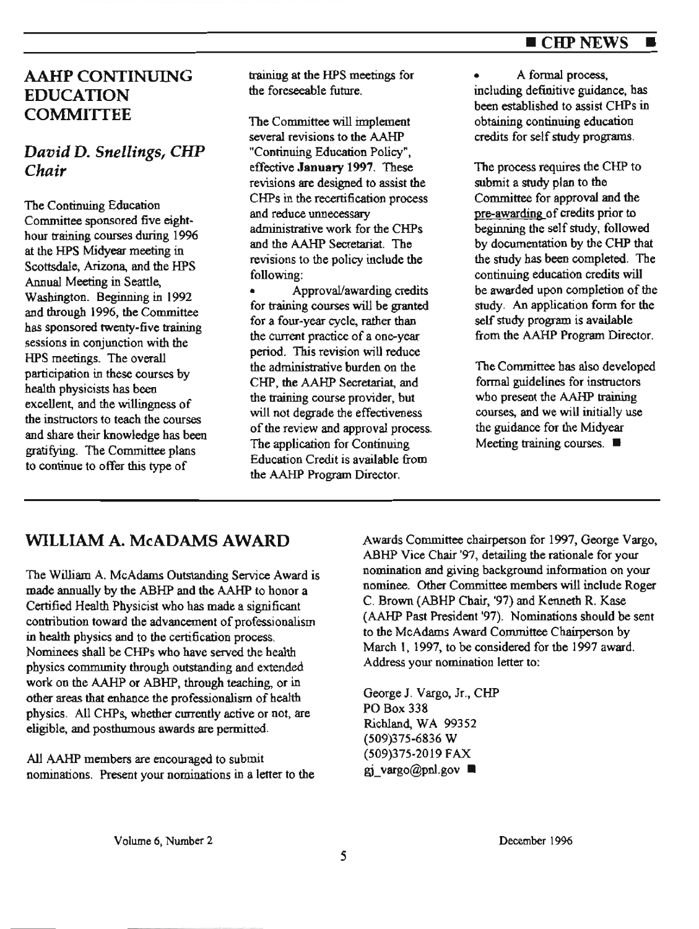### ■ CHPNEWS ■

## AAHP CONTINUING EDUCATION **COMMITTEE**

## *David* D. *Snellings, CHP Chair*

The Continuing Education Committee sponsored five eighthour training courses during 1996 at the HPS Midyear meeting in Scottsdale, Arizona, and the HPS Annual Meeting in Seattle, Washington. Beginning in 1992 and through 1996, the Committee has sponsored twenty-five training sessions in conjunction with the HPS meetings. The overall participation in these courses by health physicists has been exceUent, and the willingness of the instructors to teach the courses and share their knowledge has been gratifying. The Committee plans to continue to offer this type of

training at the HPS meetings for the foreseeable future.

The Committee will implement several revisions to the AAHP "Continuing Education Policy", effective **January** 1997. These revisions are designed to assist the CHPs in the recertification process and reduce unnecessary administrative work for the CHPs and the AAHP Secretariat. The revisions to the policy include the following:

• Approval/awarding credits for training courses will be granted for a four-year cycle, rather than the current practice of a one-year period. This revision wiU reduce the administrative burden on the CHP, the AAHP Secretariat, and the training course provider, but will not degrade the effectiveness of the review and approval process. The application for Continuing Education Credit is available from the AAHP Program Director.

• A formal process, including definitive guidance, has been established to assist CHPs in obtaining continuing education credits for self study programs.

The process requires the CHP to submit a study plan to the Committee for approval and the pre-awarding of credits prior to beginning the self study, followed by documentation by the CHP that the study has been completed. The continuing education credits will be awarded upon completion of the study. An application form for the self study program is available from the AAHP Program Director.

The Committee bas also developed formal guidelines for instructors who present the AAHP training courses, and we will initially use the guidance for the Midyear Meeting training courses. ■

The William A. McAdams Outstanding Service Award is made annually by the ABHP and the AAHP to honor a Certified Health Physicist who has made a significant contribution toward the advancement of professionalism in health physics and to the certification process. Nominees shall be CHPs who have served the health physics community through outstanding and extended work on the AAHP or ABHP, through teaching, or in other areas that enhance the professionalism of health physics. All CHPs, whether cmrently active or not, are eligible, and posthumous awards are permitted.

All AAHP members are encouraged to submit nominations. Present your nominations in a letter to the

**WILLIAM A. McADAMS AWARD** Awards Committee chairperson for 1997, George Vargo, ABHP Vice Chair '97, detailing the rationale for your nomination and giving background information on your nominee. Other Committee members will include Roger C. Brown (ABHP Chair, '97) and Kenneth R. Kase (AAHP Past President '97). Nominations should be sent to the McAdams Award Committee Chairperson by March I, 1997, to be considered for the 1997 award. Address your nomination letter to:

> George J. Vargo, Jr., CHP PO Box 338 Richland, WA 99352 (509)375-6836 W (509)375-2019 FAX gi vargo@pnl.gov  $\blacksquare$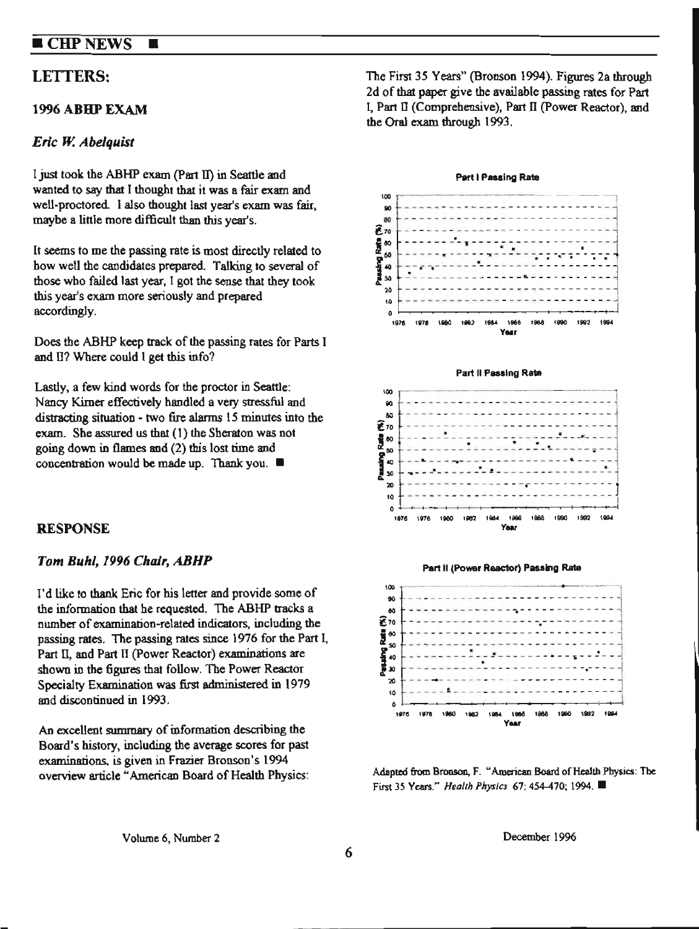## **CHP NEWS**

#### *Erle W. Abelquist*

I just took the ABHP exam (Part II) in Seattle and wanted to say that I thought that it was a fair exam and well-proctored. I also thought last year's exam was fair, maybe a little more difficult than this year's.

П

It seems to me the passing rate is most directly related to bow well the candidates prepared Talking to several of those wbo failed last year, I got the sense that they took this year's exam more seriously and prepared accordingly.

Does the ABHP keep track of the passing rates for Parts 1 and II? Where could 1 get this info?

Lastly, a few kind words for the proctor in Seattle: Nancy Kirner effectively handled a very stressful and distracting situation - two fire alarms 15 minutes into the exam. She assured us that  $(1)$  the Sheraton was not going down in flames and (2) this lost time and concentration would be made up. Thank you.  $\blacksquare$ 

### **RESPONSE**

#### Tom Buhl, 1996 Chair, ABHP

I'd like to thank Eric for his letter and provide some of the information that he requested. The ABHP tracks a number of examination-related indicators, including the passing rates. The passing rates since 1976 for the Part l, Part II, and Part II (Power Reactor) examinations are shown in the figures that follow. The Power Reactor Specialty Examination was first administered in 1979 and discontinued in 1993.

Ao excellent summary of information describing the Board's history, including the average scores for pas<sup>t</sup> examinations. is given in Frazier Bronson's 1994 overview article "'American Board of Health Physics:

LETTERS: The First 35 Years" (Bronson 1994). Figures 2a through 2d of that paper give the available passing rates for Part 1996 ABHP EXAM l, Part II (Comprehensive), Part II (Power Reactor), and the Oral exam through 1993.









Adapted from Bronson, F. "American Board of Health Physics: The First *35* Years." *Health Physics* 67: 454-470; 1994. ■

Volume 6, Number 2

December 1996

6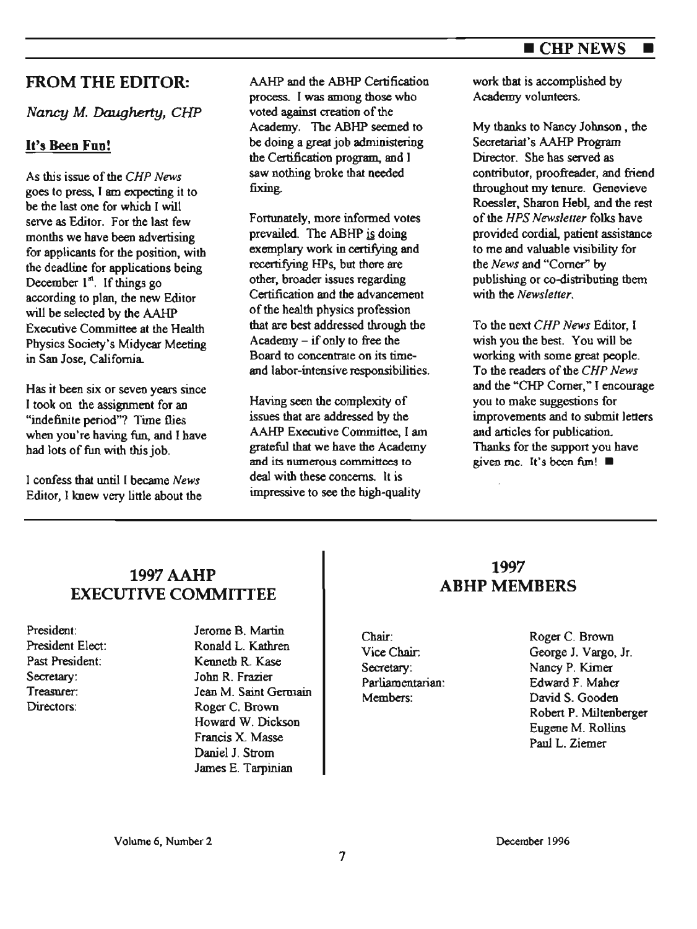## ■ CHPNEWS ■

## FROM THE EDITOR:

Nancy M. Daugherty, CHP

## **It's Been Fun!**

As this issue of the *CHP News*  goes to press, I am expecting it to be the last one for which I will serve as Editor. For the last few months we have been advertising for applicants for the position, with the deadline for applications being December  $1<sup>st</sup>$ . If things go according to plan, the new Editor will be selected by the AAHP Executive Committee at the Health Physics Society's Midyear Meeting in San Jose, California

Has it been six or seven years since I took on the assignment for ao "indefinite period"? Time flies when you're having fun, and I have had lots of fun with this job.

I confess that until I became *News*  Editor, I knew very little about the AAHP and the ABHP Certification process. I was among those who voted against creation of the Academy. The ABHP seemed to be doing a great job administering the Certification program, and I saw nothing broke that needed fixing.

Fortunately, more informed votes prevailed. The ABHP is doing exemplary work in certifying **and**  recertifying HPs, but there are other, broader issues regarding Certification and the advancement of the health physics profession that are best addressed through the Academy - if only to free the Board to concenlrale on its timeand labor-intensive responsibilities.

Having seen the complexity of issues that are addressed by the AAHP Executive Committee, I am grateful that we have the Academy and its numerous committees to deal with these concerns. It is impressive to see the high-quality

work that is accomplished by Academy volunteers.

My thanks to Nancy Johnson , the Secretariat's AAHP Program Director. She has served as contributor, proofreader, and friend throughout my tenure. Genevieve Roessler, Sharon Hebl, and the rest of the *HPS Newsletter* folks have provided cordial, patient assistance to me and valuable visibility for the *News* and "Comer" by publishing or co-distributing them with the *Newsletter.* 

To the next *CHP News* Editor, I wish you the best. You wiU be working with some great people. To the readers of the *CHP News*  and the "CHP Comer," I encourage you to make suggestions for improvements and to submit letters and articles for publication. Thanks for the support you have given me. It's been fim! ■

## 1997 AAHP EXECUTIVE COMMITTEE

President: President Elect: Past President: Secretary: Treasurer. Directors:

Jerome B. Martin Ronald L. Kathren Kenneth R. Kase John R. Frazier Parliamentarian: Jean M. Saint Germain Roger C. Brown Howard W. Dickson Francis X Masse Daniel J. Strom James E. Tarpinian

## 1997 **ABHP** MEMBERS

Chair: Vice Chair. Secretary: Members:

Roger C. Brown George J. Vargo, Jr. Nancy P. Kimer Edward F. Maher David S. Gooden Robert P. Miltenberger Eugene M. Rollins Paul L. Ziemer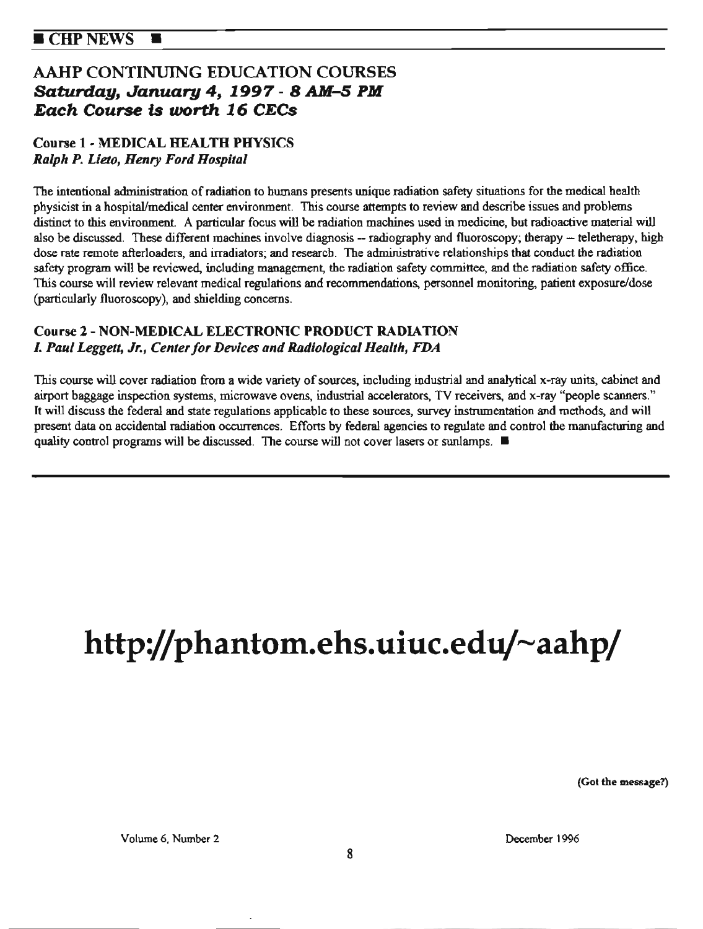## AAHP CONTINUING EDUCATION COURSES *Saturday, January* **4, 1997 - 8** *AM-5* **PM Each Course is** *worth* **16 CECs**

## Coone 1 - **MEDICAL HEALTH PHYSICS**  *Ralph P. Lieto, Henry Ford Hospital*

The intentional administration of radiation to humans presents unique radiation safety situations for the medical health physicist in a hospital/medical center environment. This course attempts to review and describe issues and problems distinct to this environment. A particular focus will be radiation machines used in medicine, but radioactive material will also be discussed. These different machines involve diagnosis -- radiography and fluoroscopy; therapy -- teletherapy, high dose rate remote afterloaders, and irradiators; and research. The administrative relationships that conduct the radiation safety program will be reviewed, including management, the radiation safety committee, and the radiation safety office. This course will review relevant medical regulations and recommendations, personnel monitoring, patient exposure/dose (particularly fluoroscopy), aod shielding concerns.

## **Course 2** - **NON-MEDICAL ELECTRONIC PRODUCT RADIATION**  *1. Paul Leggett, Jr., Center for Devices and Radiological Health, FDA*

This course will cover radiation from a wide variety of sources, including industrial and analytical x-ray units, cabinet and airport baggage inspection systems, microwave ovens, industrial accelerators, TV receivers, and x-ray "people scanners." It will discuss the federal and state regulations applicable to these sources, survey instrumentation and methods, and will present data on accidental radiation occurrences. Efforts by federal agencies to regulate and control the manufacturing and quality control programs will be discussed. The course will not cover lasers or sunlamps. ■

# http://phantom.ehs.uiuc.edu/~aahp/

**(Got the message?)** 

Volume 6, Number 2 December 1996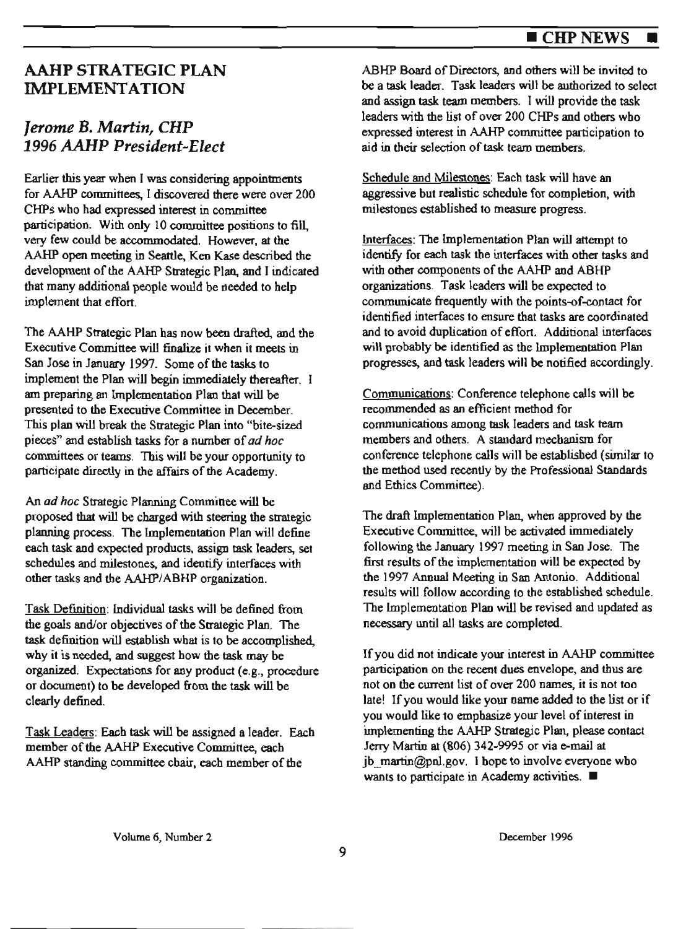## ■ CHPNEWS ■

## AAHP STRATEGIC PLAN **IMPLEMENTATION**

## *Jerome* B. *Martin, CHP 1996 AAHP President-Elect*

Earlier this year when I was considering appointments for AAHP committees, I discovered there were over 200 CHPs who had expressed interest in committee participation. With only 10 committee positions to fill, very few could be accommodated. However, at the AA.HP open meeting in Seattle, **Ken Kase** described the development of the AAHP Strategic Plan, and I indicated that many additional people would be needed to help implement that effort.

The AAHP Strategic Plan has now been drafted, and the Executive Committee will finalize it when *it* meets in San Jose in January 1997. Some of the tasks *to*  implement the Plan will begin immediately thereafter. I am preparing an lmplementatioo Plan that will be presented *to* the Executive Committee in December. This plan will break the Strategic Plan into "bite-sized pieces" and establish tasks for a number of *ad hoc*  committees or teams. This will be your opportunity to participate directly in the affairs of the Academy.

An *ad hoc* Strategic Planning Committee will be proposed that will be charged with steering the strategic planning process. The Implementation Plan will define each task and expected products, assign task leaders, set schedules and milestones, and identify interfaces with other tasks and the AAHP/ABHP organization.

Task Definition: Individual tasks will be defined from the goals and/or objectives of the Strategic Plan. The task definition will establish what is to be accomplished. why it is needed, and suggest how the task may be organized. Expectations for any product (e.g., procedure or document) to be developed from the task will be clearly defined.

Task Leaders: Each task will be assigned a leader. Each member of the AAHP Executive Committee, each AAHP standing committee chair, each member of the

ABHP Board of Directors, and others will be invited to be a task leader. Task leaders will be authorized to select and assign task team members. I will provide the task leaders with the list of over 200 CHPs and others who expressed interest in AAHP committee participation to aid in their selection of task team members.

Schedule and Milestones: Each task wiU have an aggressive *but* realistic schedule for completion, with milestones established *to* measure progress.

Interfaces: The Implementation Plan will attempt to identify for each task the interfaces with other tasks and with other components of the AAHP and ABHP organizations. Task leaders will be expected to communicate frequently with the points-of-contact for identified interfaces to ensure that tasks are coordinated and to avoid duplication of effort. Additional interfaces will probably be identified as the Implementation Plan progresses, and task leaders will be notified accordingly.

Communications: Conference telephone calls will be recommended as an efficient method for communications among task leaders and task team members and others. A standard mechanism for conference telephone calls will be established (similar to the method used recently by the Professional Standards and Ethics Committee).

The draft lmplementatioo Plan, when approved by the Executive Committee, will be activated immediately following the January 1997 meeting in San Jose. The first results of the implementation will be expected by the 1997 Annual Meeting in San Antonio. Additional results will follow according to the established schedule. The Implementation Piao will be revised and updated as necessary until all tasks are completed.

If you did not indicate your interest in AAHP committee participation on the *recent* dues envelope, and thus are not on the current list of over 200 names, it is not too late! If you would like your name added to the list or if you would like to emphasize your level of interest in implementing the AAHP Strategic Plan, please contact Jeny Martin at (806) 342-9995 or via e-mail at jb  $\text{martin@pnl.gov}$ . I hope to involve everyone who wants *to* participate in Academy activities. ■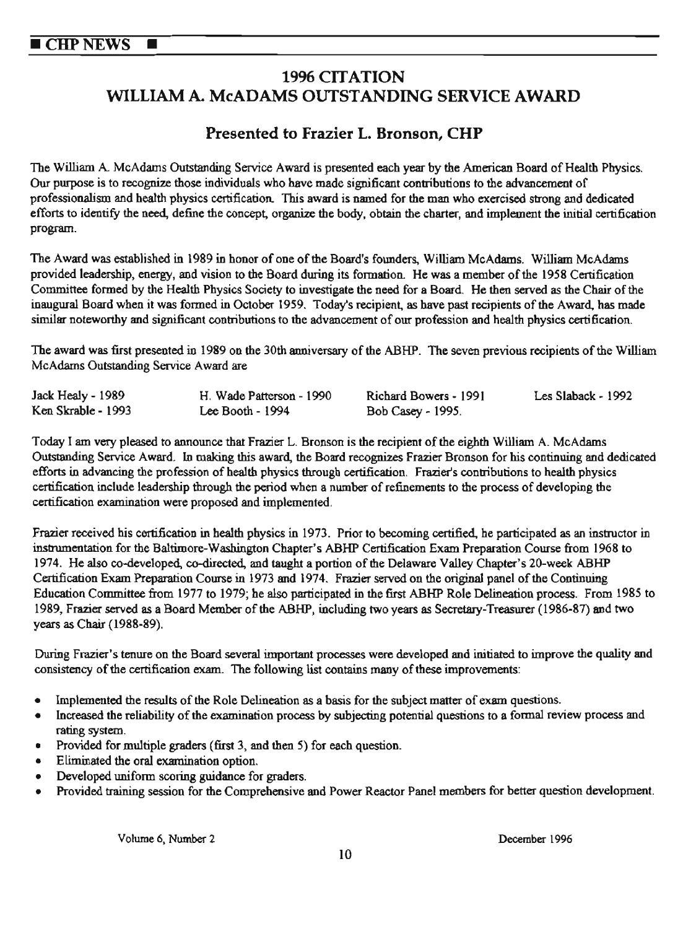## **1996 CITATION WILLIAM A McADAMS OUTSTANDING SERVICE AWARD**

## **Presented to Frazier L. Bronson, CHP**

The William A. McAdams Outstanding Service Award is presented each year by the American Board of Health Physics. Our purpose is to recognize those individuals who have made significant contributions to the advancement of professionalism and health physics certification. This award is named for the man who exercised strong and dedicated efforts to identify the need, define the concept, organize the body, obtain the charter, and implement the initia1 certification program.

The Award was established in 1989 in honor of one of the Board's founders, William McAdams. William McAdams provided leadership, energy, and vision to the Board during its formation. He was a member of the 1958 Certification Committee formed by the Health Physics Society to investigate the need for a Board. He then served as the Chair of the inaugural Board when it was formed in October 1959. Today's recipient, as have past recipients of the Award, has made similar noteworthy and significant contributions to the advancement of our profession and health physics certification.

The award was first presented in 1989 on the 30th anniversary of the ABHP. The seven previous recipients of the William McAdams Outstanding Service Award are

| Jack Healy - 1989  | H. Wade Patterson - 1990 | Richard Bowers - 1991 | Les Slaback - 1992 |
|--------------------|--------------------------|-----------------------|--------------------|
| Ken Skrable - 1993 | Lee Booth $-1994$        | Bob Casey - 1995.     |                    |

Today I am very pleased to announce that Frazier L. Bronson is the recipient of the eighth William A. McAdams Outstanding Service Award. In making this award, the Board recognizes Frazier Bronson for his continuing and dedicated efforts in advancing the profession of health physics through certification. Frazier's contributions to health physics certification include leadership through the period when a number of refinements to the process of developing the certification examination were proposed and implemented.

Frazier received his certification in health physics in 1973. Prior to becoming certified., he participated as an instructor in instrumentation for the Baltimore-Washington Chapter's ABHP Certification Exam Preparation Course from 1968 to 1974. He also co-developed, co-directed, and taught a portion of the Delaware Valley Chapter's 20-week ABHP Certification Exam Preparation Course in 1973 and 1974. Frazier served on the original panel of the Continuing Education Committee from 1977 to 1979; he also participated in the first ABHP Role Delineation process. From 1985 to 1989, Frazier served as a Board Member of the ABHP, including two years as Secretary-Treasurer (1986-87) and two years as Chair (1988-89).

During Frazier's tenure on the Board several important processes were developed and initiated to improve the quality and consistency of the certification exam. The following list contains many of these improvements:

- Implemented the results of the Role Delineation as a basis for the subject matter of exam questions.
- Increased the reliability of the examination process by subjecting potential questions to a formal review process and rating system.
- Provided for multiple graders (first 3, and then 5) for each question.
- Eliminated the oral examination option.
- Developed uniform scoring guidance for graders.
- Provided training session for the Comprehensive and Power Reactor Panel members for better question development.

Volume 6, Number 2 December 1996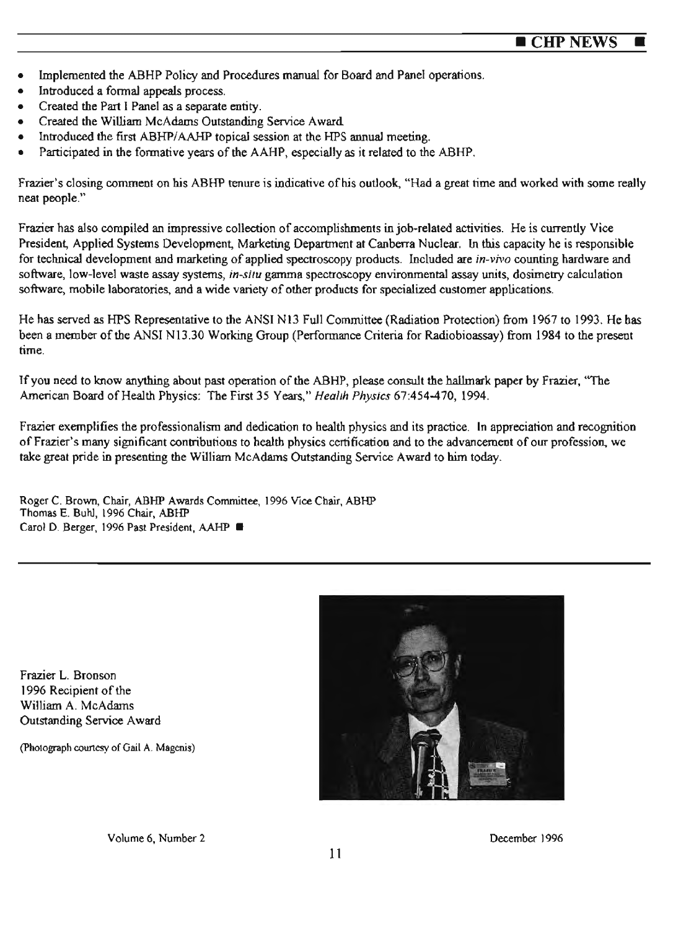- Implemented the ABHP Policy and Procedures manual for Board and Panel operations.
- Introduced a formal appeals process.
- Created the Part I Panel as a separate entity.
- Created the William McAdams Outstanding Service Award
- Introduced the first ABHP/AAHP topical session at the HPS annual meeting.
- Participated in the formative years of the AAHP, especially as it related to the ABHP.

Frazier's closing comment on his ABHP tenure is indicative of his outlook, "Had a great rime and worked with some really neat people."

Frazier has also compiled an impressive collection of accomplishments in job•related activities. He is currently Vice President, Applied Systems Development, Marketing Department at Canberra Nuclear. In this capacity he is responsible for technical development and marketing of applied spectroscopy products. Included are *in.vivo* counting hardware and software, low-level waste assay systems, *in-situ* gamma spectroscopy environmental assay units, dosimetry calculation software, mobile laboratories, and a wide variety of other products for specialized customer applications.

He has served as HPS Representative to the ANSI N13 Full Committee (Radiation Protection) from 1967 to 1993. He has been a member of the ANSI N13.30 Working Group (Performance Criteria for Radiobioassay) from 1984 to the present rime.

lfyou need to know anything about past operation of the ABHP, please consult the hallmark paper by Frazier, "The American Board of Health Physics: The First 35 Years," *Heal1h Physics* 67:454-470, 1994.

Frazier exemplifies the professionalism and dedication to health physics and its practice. In appreciation and recognition of Frazier's many significant contributions to health physics certification and to the advancement of our profession, we take great pride in presenting the William McAdams Outstanding Service Award to him today.

Roger C. Brown, Chair, ABHP Awards Committee, 1996 Vice Chair, ABHP Thomas E. Buhl, 1996 Chair, ABHP Carol D. Berger, 1996 Past President, AAHP ■

Frazier L. Bronson 1996 Recipient of the William A. McAdams Outstanding Service Award

(Photograph courtesy of Gail A. Magenis)



Volume 6, Number 2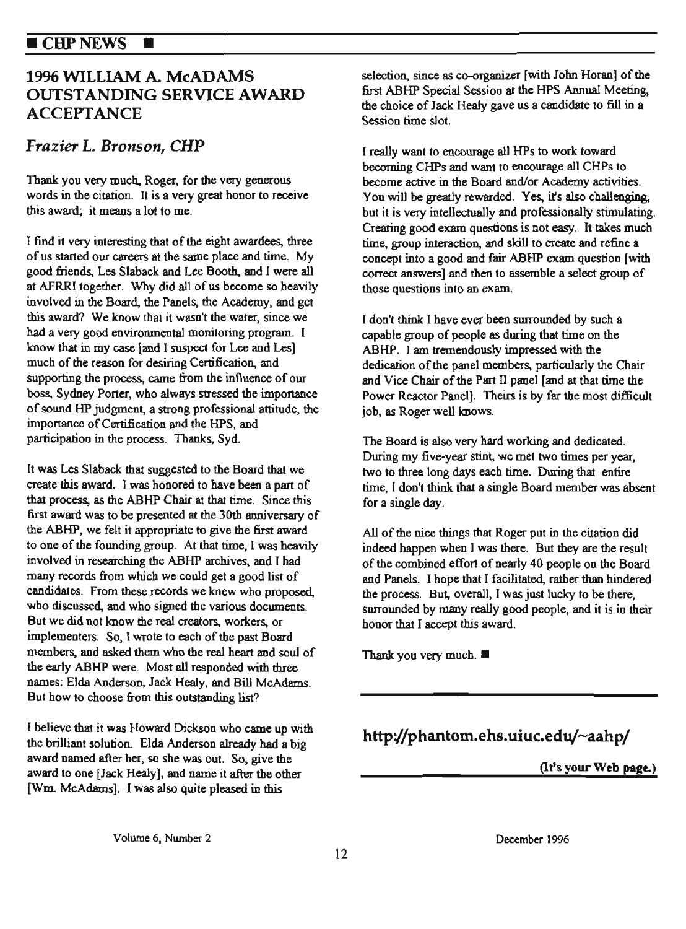#### $\blacksquare$  CHP NEWS Ħ

## 1996 WILLIAM A. McADAMS OUTSTANDING SERVICE **AWARD**  ACCEPTANCE

## *Frazier L. Bronson, CHP*

Thank you very much, Roger, for the very generous words in the citation. It is a very great honor to receive this award; it means a lot to me.

I find it very interesting that of the eight awardees, three of us started our careers at the same place and time. My good friends, Les Slaback and Lee Booth, and 1 were all at AFRRI together. Why did all of us become so heavily involved in the Board, the Panels, the Academy, and get this award? We know that it wasn't the water, since we had a very good environmental monitoring program\_ l know that in my case [and I suspect for Lee and Les] much of the reason for desiring Certification, and supporting the process, came from the influence of our boss, Sydney Porter, who always stressed the importance of sound HP judgment, a strong professional attitude, the importance of Certification and the HPS, and participation in the process. Thanks, Syd.

lt was Les Slaback that suggested to the Board that we create this award. I was honored to have been a part of that process, as the ABHP Chair at that time. Since this first award was to be presented at the 30th anniversmy of the ABHP, we felt it appropriate to give the first award to one of the founding group. At that time, I was heavily involved in researching the ABHP archives, and I had many records from which we could get a good list of candidates. From these records we knew who proposed, who discussed, and who signed the various documents. But we did not know the real creators, workers. or implementers. So, I wrote to each of the past Board members, and asked them who the real heart and soul of the early ABHP were. Most all responded with three names: Elda Anderson. Jack Healy, and Bill McAdams. But how to choose from this outstanding list?

I believe that it was Howard Dickson who came up with the brilliant solution. Elda Anderson already had a big award named after her, so she was out. So, give the award to one [Jack Healy], and name it after the other (Wm. McAdams]. I was also quite pleased in this

selection, since as co-organizer [with John Horan] of the first ABHP Special Sessioo *at* the HPS Annual Meeting, the choice of Jack Heaty gave us a candidate to fill in <sup>a</sup> Session time slot.

I really want to enoourage all HPs to work toward becoming CHPs and want to encourage all CHPs to become active in the Board and/or Academy activities. You will be greatly rewarded. Yes, it's also challenging, but it is very intellectually and professionally stimulating. Creating good exam questions is not easy. It takes much time, group interaction, and skill to create and refine a concept into a good and fair ABHP exam question (with correct answers] and then to assemble a select group of those questions into an exam.

I don't think l have ever been surrounded by such a capable group of people as during that time on the ABHP. I am tremendously impressed with the dedication of the panel members, particularly the Chair and Vice Cbair of the Part Il panel [and at that time the Power Reactor Panel]. Theirs is by far the most difficult job, as Roger well knows.

The Board is also very hard working and dedicated. During my five-year stint, we met two times per year, two to three long days each time. During that entire time, I don't think that a single Board member was absent for a single day.

All of the nice things that Roger put in the citation did indeed happen when l was there. But they are the result of the combined effort of nearly 40 people on the Board and Panels. I hope that I facilitated, rather than hindered the process. But, overall, I was just lucky to be there, surrounded by many really good people, and it is in their honor that I accept this award.

Thank you very much. ■

## http://phantom.ehs.uiuc.edu/~aahp/

(It's your **Web pag~)** 

Volume 6, Number 2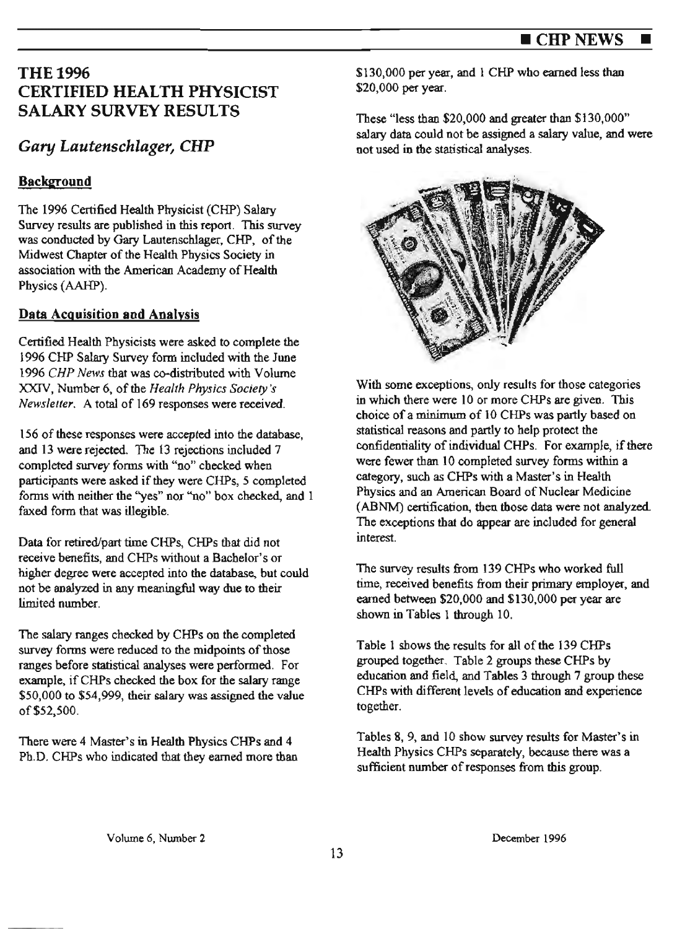## **THE1996** CERTIFIED HEALTH PHYSICIST SALARY SURVEY RESULTS

## *Gary Lautenschlager, CHP*

## **Background**

The 1996 Certified Health Physicist (CHP) Salary Survey results are published in this report. This survey was conducted by Gary Lautenscblager, CHP, of the Midwest Chapter of the Health Physics Society in association with the American Academy of Health Physics (AAHP).

## **Data Acg uisition aod Analysis**

Certified Health Physicists were asked to complete the 1996 CHP Salary Survey form included with the June 1996 *CHP News* that was co-distributed with Volume XXJV, Number 6, of the *Health Physics Society's Newsletter.* A total of 169 responses were received.

156 of these responses were accepted into the database, and 13 were rejected. The 13 rejections included 7 completed survey forms with "no" checked when participants were asked if they were CHPs, *5* completed forms with neither the "yes" nor "no" box checked, and 1 faxed form that was illegible.

Data for retired/part time CHPs, CHPs that did not receive benefits, and CHPs without a Bachelor's or higher degree were accepted into the database, but could not be analyzed in any meaningful way due to their limited number.

The salary ranges checked by CHPs on the completed survey forms were reduced to the midpoints of those ranges before statistical analyses were performed. For example, if CHPs checked the box for the salary range \$50,000 to \$54,999, their salary was assigned the value of\$52,500.

There were 4 Master's in Health Physics CHPs and 4 Ph.D. CHPs who indicated that they earned more than \$130,000 per year, and 1 CHP who earned less than \$20,000 per year.

These "less than \$20,000 and greater than \$130,000" salary data could not be assigned a salary value, and were not used in the statistical analyses.



With some exceptions, only results for those categories in which there were IO or more CHPs are given. This choice of a minimum of 10 CHPs was partly based on statistical reasons and partly to help protect the confidentiality of individual CHPs. For example, if there were fewer than 10 completed survey forms within a category, such as CHPs with a Master's in Health Physics and an American Board of Nuclear Medicine (ABNM) certification, then those data were not analyzed. The exceptions that do appear are included for general interest.

The survey results from 139 CHPs who worked full time, received benefits from their primary employer, and earned between \$20,000 and \$130,000 per year are shown in Tables 1 through 10.

Table 1 shows the results for all of the 139 CHPs grouped together. Table 2 groups these CHPs by education and field, and Tables 3 through 7 group these CHPs with different levels of education and experience together.

Tables 8, 9, and 10 show survey results for Master's in Health Physics CHPs separately, because there was a sufficient number of responses from this group.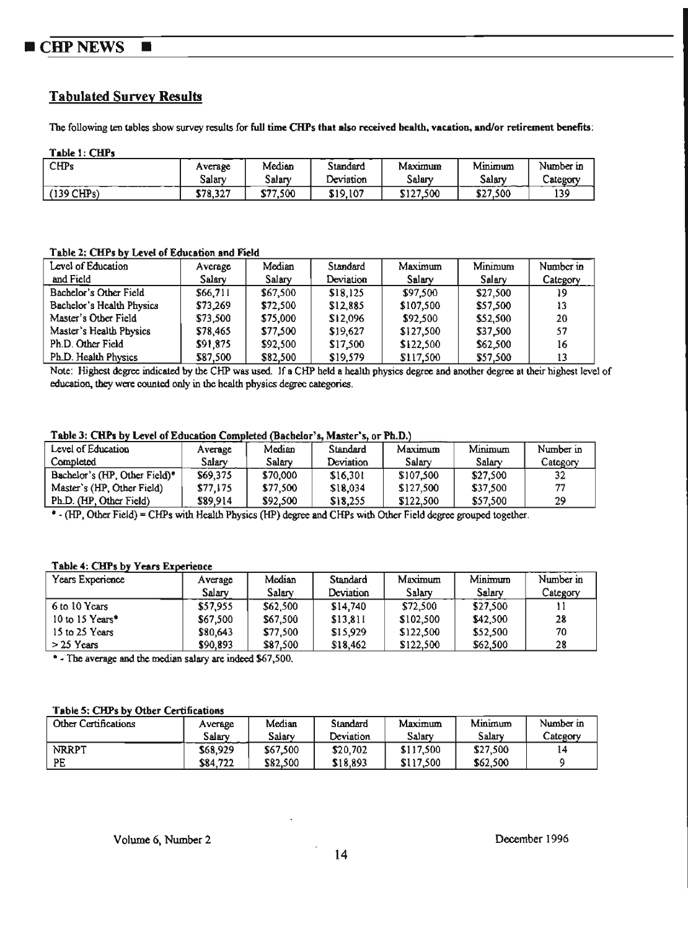#### **CHP NEWS**  $\blacksquare$

## **Tabulated Survey Results**

The following ten tables show survey results for full time CHPs that also received health, vacation, and/or retirement benefits:

Table 1: CHPs

| ---------    |                   |                   |                       |                   |                              |                       |
|--------------|-------------------|-------------------|-----------------------|-------------------|------------------------------|-----------------------|
| <b>CHPs</b>  | Average<br>Salarv | Median<br>Salarv  | Standard<br>Deviation | Maximum<br>Salary | $\cdots$<br>Mmumum<br>Salarv | Number in<br>Category |
| $(139$ CHPs) | \$78.327          | \$77.500<br>۔ بوت | \$19,107              | \$127,500         | \$27,500                     | 139                   |

Table 2: CHPs by Level of Education and Field

| Level of Education        | Average  | Median   | Standard  | Maximum   | Minimum  | Number in |
|---------------------------|----------|----------|-----------|-----------|----------|-----------|
| and Field                 | Salary   | Salary   | Deviation | Salary    | Salary   | Category  |
| Bachelor's Other Field    | \$66,711 | \$67,500 | \$18.125  | \$97.500  | \$27,500 | 19        |
| Bachelor's Health Physics | \$73.269 | \$72,500 | \$12,885  | \$107,500 | \$57,500 | 13        |
| Master's Other Field      | \$73,500 | \$75,000 | \$12,096  | \$92.500  | \$52,500 | 20        |
| Master's Health Physics   | \$78,465 | \$77,500 | \$19.627  | \$127,500 | \$37.500 | 57        |
| Ph.D. Other Field         | \$91,875 | \$92,500 | \$17,500  | \$122,500 | \$62,500 | 16        |
| Ph.D. Health Physics      | \$87.500 | \$82.500 | \$19.579  | \$117.500 | \$57.500 |           |

Note: Highest degree indicated by the CHP was used. If a CHP held a health physics degree and another degree at their highest level of education, they were counted only in the health physics degree categories.

#### Table 3: CHPs by Level of Education Completed (Bachelor's, Master's, or Ph.D.)

| Level of Education                        | Average  | Median   | Standard  | Maximum   | Minimum  | Number in |
|-------------------------------------------|----------|----------|-----------|-----------|----------|-----------|
| Completed                                 | Salarv   | Salary   | Deviation | Salary    | Salary   | Category  |
| Bachelor's (HP, Other Field) <sup>*</sup> | \$69.375 | \$70,000 | \$16.301  | \$107,500 | \$27,500 |           |
| Master's (HP, Other Field)                | \$77.175 | \$77,500 | \$18.034  | \$127,500 | \$37,500 | 77        |
| Ph.D. (HP, Other Field)                   | \$89.914 | \$92,500 | \$18.255  | \$122,500 | \$57,500 | 29        |

\* - (HP, Other Field) = CHPs with Health Physics (HP) degree and CHPs with Other Field degree grouped together.

#### Table 4: CHPs by Years Experience

| Years Experience | Average  | Median       | Standard  | Maximum   | Minmum   | Number in |
|------------------|----------|--------------|-----------|-----------|----------|-----------|
|                  | Salarv   | $S$ alar $v$ | Deviation | Salarv    | Salary   | Category  |
| 6 to 10 Years    | \$57.955 | \$62,500     | \$14.740  | \$72,500  | \$27,500 |           |
| 10 to 15 Years*  | \$67,500 | \$67,500     | \$13.811  | \$102,500 | \$42,500 | 28        |
| 15 to 25 Years   | \$80.643 | \$77.500     | \$15.929  | \$122,500 | \$52,500 | 70        |
| $> 25$ Years     | \$90.893 | \$87.500     | \$18,462  | \$122,500 | \$62,500 | 28        |

\* - The average and the median salary are indeed \$67,500.

#### Table 5: CHPs by Other Certifications

| Other Certifications | Average  | Median   | Standard  | Maximum   | Minimum  | Number in |
|----------------------|----------|----------|-----------|-----------|----------|-----------|
|                      | Salarv   | Salarv   | Deviation | Salarv    | Salary   | Category  |
| NRRPT                | \$68.929 | \$67,500 | \$20.702  | \$117,500 | \$27,500 | 14        |
| PE                   | \$84,722 | \$82,500 | \$18.893  | \$117,500 | \$62,500 |           |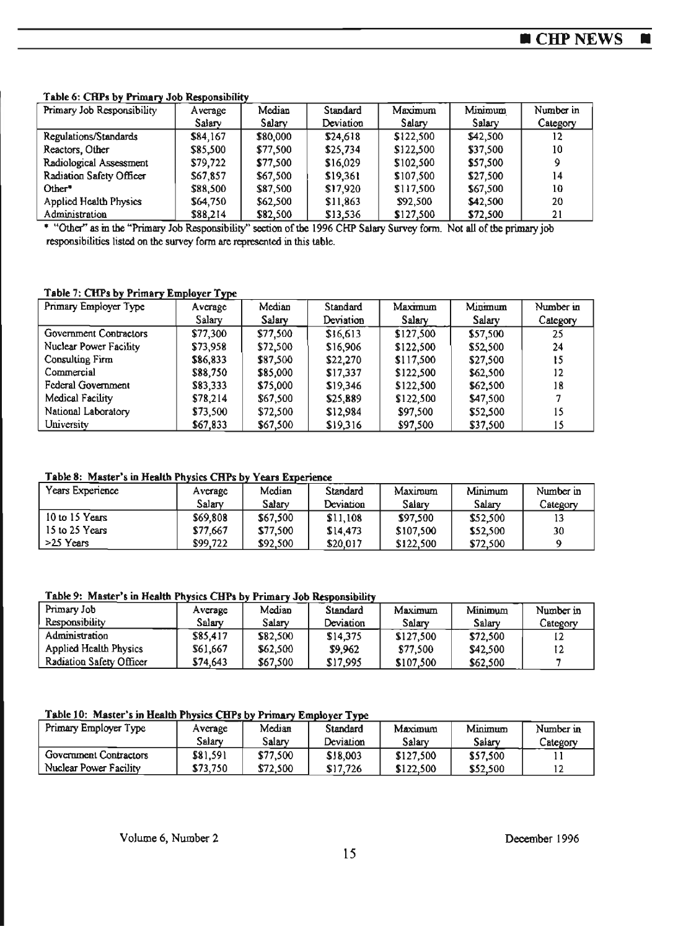$\blacksquare$ 

#### Table 6: CRPs by Primary Job Responsibility

| Primary Job Responsibility    | Average      | Median   | Standard  | Maximum      | Minimum  | Number in |
|-------------------------------|--------------|----------|-----------|--------------|----------|-----------|
|                               | $S$ alar $v$ | Salary   | Deviation | $S$ alar $v$ | Salary   | Category  |
| Regulations/Standards         | \$84.167     | \$80,000 | \$24,618  | \$122,500    | \$42,500 |           |
| Reactors, Other               | \$85,500     | \$77,500 | \$25,734  | \$122,500    | \$37,500 | 10        |
| Radiological Assessment       | \$79,722     | \$77,500 | \$16,029  | \$102,500    | \$57,500 | 9         |
| Radiation Safety Officer      | \$67,857     | \$67,500 | \$19.361  | \$107.500    | \$27,500 | 14        |
| Other <sup>*</sup>            | \$88,500     | \$87,500 | \$17.920  | \$117,500    | \$67,500 | 10        |
| <b>Applied Health Physics</b> | \$64,750     | \$62,500 | \$11,863  | \$92,500     | \$42,500 | 20        |
| Administration                | \$88,214     | \$82,500 | \$13,536  | \$127.500    | \$72,500 | 21        |

\* "Other" as in the "Primary Job Responsibility" section of the 1996 CHP Salary Survey form. Not all of the primary job responsibilities listed on the survey form are represented in this table.

#### Table 7: CHPs by Primary Employer Type

| Primary Employer Type  | Average  | Median   | Standard  | Maximum   | Minimum  | Number in |
|------------------------|----------|----------|-----------|-----------|----------|-----------|
|                        | Salary   | Salary   | Deviation | Salary    | Salarv   | Category  |
| Government Contractors | \$77,300 | \$77,500 | \$16,613  | \$127.500 | \$57,500 | 25        |
| Nuclear Power Facility | \$73,958 | \$72,500 | \$16,906  | \$122,500 | \$52,500 | 24        |
| Consulting Firm        | \$86,833 | \$87,500 | \$22,270  | \$117,500 | \$27,500 | 15        |
| Commercial             | \$88,750 | \$85,000 | \$17,337  | \$122,500 | \$62,500 | 12        |
| Federal Government     | \$83,333 | \$75,000 | \$19,346  | \$122,500 | \$62,500 | 18        |
| Medical Facility       | \$78,214 | \$67,500 | \$25,889  | \$122,500 | \$47,500 |           |
| National Laboratory    | \$73,500 | \$72,500 | \$12.984  | \$97,500  | \$52,500 | 15        |
| University             | \$67,833 | \$67,500 | \$19,316  | \$97,500  | \$37,500 | 15        |

#### Table 8: Master's in Health Physics CHPs by Years Experience

| Years Experience | Average  | Median   | Standard  | Maximum   | Minimum  | Number in |
|------------------|----------|----------|-----------|-----------|----------|-----------|
|                  | Salarv   | Salarv   | Deviation | Salary    | Salarv   | Category  |
| 10 to 15 Years   | \$69,808 | \$67,500 | \$11,108  | \$97.500  | \$52,500 |           |
| 15 to 25 Years   | \$77.667 | \$77,500 | \$14,473  | \$107,500 | \$52,500 | 30        |
| $>25$ Years      | \$99,722 | \$92.500 | \$20.017  | \$122,500 | \$72,500 |           |

#### Table 9: Master's in Health Physics CHPs by Primary Job Responsibility

| Primary Job                   | Average  | Median       | Standard  | Maximum   | Minimum  | Number in |
|-------------------------------|----------|--------------|-----------|-----------|----------|-----------|
| <b>Responsibility</b>         | Salarv   | $S$ alar $v$ | Deviation | Salary    | Salarv   | Category  |
| Administration                | \$85,417 | \$82,500     | \$14,375  | \$127,500 | \$72,500 |           |
| <b>Applied Health Physics</b> | \$61,667 | \$62.500     | \$9.962   | \$77.500  | \$42,500 |           |
| Radiation Safety Officer      | \$74.643 | \$67,500     | \$17.995  | \$107,500 | \$62,500 |           |

#### Table 10: Master's in Health Physics CHPs by Primary Employer Type

| Primary Employer Type  | Average  | Median   | Standard  | Maximum   | Minimum  | Number in |
|------------------------|----------|----------|-----------|-----------|----------|-----------|
|                        | Salarv   | Salarv   | Deviation | Salarv    | Salarv   | Category  |
| Government Contractors | \$81,591 | \$77,500 | \$18,003  | \$127,500 | \$57,500 |           |
| Nuclear Power Facility | \$73,750 | \$72,500 | \$17,726  | \$122,500 | \$52,500 |           |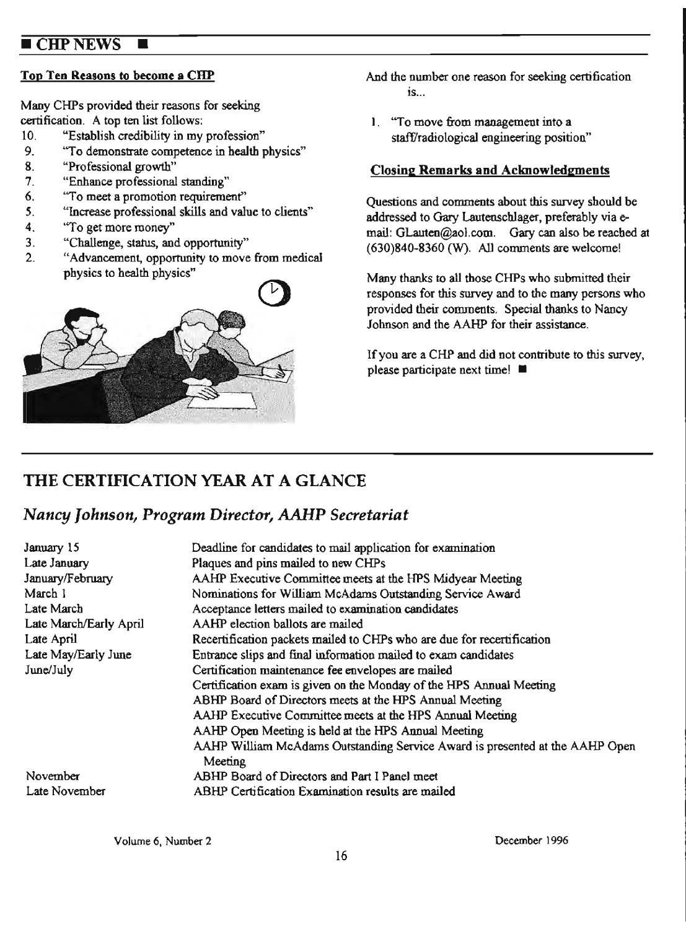## **CHP NEWS**

Many CHPs provided their reasons for seeking

- 
- "To demonstrate competence in health physics"
- 8. "Professional growth"
- 7. "Enhance professional standing"
- 
- "Increase professional skills and value to clients"
- 4. "To get more money"
- 3. "Challenge, status, and opportunity"
- 2. "Advancement, opportunity to move from medica1



- **Top Ten Reasons to become a CHP** And the number one reason for seeking certification  $is...$
- certification. A top ten list follows:<br>
10. "Establish credibility in my profession" staff/radiological engineering positions 10. "Establish credibility in my profession" staff/radiological engineering position"<br>9. "To demonstrate competence in health physics"

## **Closing Remarks and Acknowledgments**

6. "To meet a promotion requirement" Questions and comments about this survey should be<br>5. "Increase professional skills and value to clients" addressed to Come I outenoables are family via a addressed to Gary Lautenschlager, preferably via email: GLauten@aol.com. Gary can also be reached at (630)840-8360 (W). All comments are welcome!

physics to health physics" Many thanks to all those CHPs who submitted their responses for this survey and to the many persons who provided their comments. Special thanks to Nancy Johnson and the AAHP for their assistance.

> If you are a CHP and did not contribute to this survey, please participate next time! ■

## **THE CERTIFICATION YEAR AT A GLANCE**

## **Nancy Johnson, Program Director, AAHP Secretariat**

| January 15             | Deadline for candidates to mail application for examination                  |
|------------------------|------------------------------------------------------------------------------|
| Late January           | Plaques and pins mailed to new CHPs                                          |
| January/February       | AAHP Executive Committee meets at the HPS Midyear Meeting                    |
| March 1                | Nominations for William McAdams Outstanding Service Award                    |
| Late March             | Acceptance letters mailed to examination candidates                          |
| Late March/Early April | AAHP election ballots are mailed                                             |
| Late April             | Recertification packets mailed to CHPs who are due for recertification       |
| Late May/Early June    | Entrance slips and final information mailed to exam candidates               |
| June/July              | Certification maintenance fee envelopes are mailed                           |
|                        | Certification exam is given on the Monday of the HPS Annual Meeting          |
|                        | ABHP Board of Directors meets at the HPS Annual Meeting                      |
|                        | AAHP Executive Committee meets at the HPS Annual Meeting                     |
|                        | AAHP Open Meeting is held at the HPS Annual Meeting                          |
|                        | AAHP William McAdams Outstanding Service Award is presented at the AAHP Open |
|                        | Meeting                                                                      |
| November               | ABHP Board of Directors and Part I Panel meet                                |
| Late November          | ABHP Certification Examination results are mailed                            |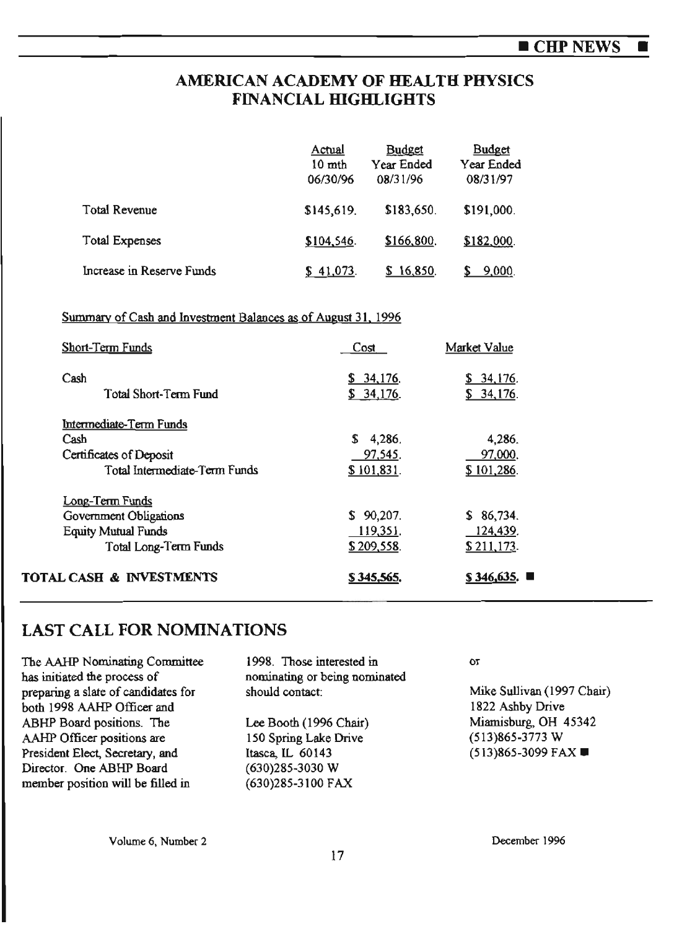## **AMERICAN ACADEMY OF HEALTH PHYSICS FINANCIAL HIGHLIGHTS**

|                           | Actual<br>$10$ mth<br>06/30/96 | <b>Budget</b><br><b>Year Ended</b><br>08/31/96 | <b>Budget</b><br>Year Ended<br>08/31/97 |
|---------------------------|--------------------------------|------------------------------------------------|-----------------------------------------|
| <b>Total Revenue</b>      | \$145,619.                     | \$183,650.                                     | \$191,000.                              |
| Total Expenses            | \$104,546.                     | \$166,800.                                     | \$182,000.                              |
| Increase in Reserve Funds | $$41,073$ .                    | \$16,850.                                      | 9,000.                                  |

#### Summary of Cash and Investment Balances as of August 31, 1996

| <b>Short-Term Funds</b>             | Cost                   | Market Value           |
|-------------------------------------|------------------------|------------------------|
| Cash<br>Total Short-Term Fund       | \$34,176.<br>\$34,176. | \$34,176.<br>\$34,176. |
|                                     |                        |                        |
| Intermediate-Term Funds<br>Cash     | \$4,286.               | 4,286.                 |
| Certificates of Deposit             | 97,545.                | 97,000.                |
|                                     |                        |                        |
| Total Intermediate-Term Funds       | \$101,831.             | \$101,286.             |
| Long-Term Funds                     |                        |                        |
| Government Obligations              | $$90,207$ .            | \$86,734.              |
| <b>Equity Mutual Funds</b>          | 119,351.               | 124,439.               |
| Total Long-Term Funds               | \$209,558.             | $$211,173$ .           |
| <b>TOTAL CASH &amp; INVESTMENTS</b> | \$345,565.             | \$346,635.             |

## LAST CALL FOR NOMINATIONS

| The AAHP Nominating Committee       | 1998. Those interested in     |
|-------------------------------------|-------------------------------|
| has initiated the process of        | nominating or being nominated |
| preparing a slate of candidates for | should contact:               |
| both 1998 AAHP Officer and          |                               |
| ABHP Board positions. The           | Lee Booth (1996 Chair)        |
| AAHP Officer positions are          | 150 Spring Lake Drive         |
| President Elect, Secretary, and     | Itasca, IL 60143              |
| Director. One ABHP Board            | (630)285-3030 W               |
| member position will be filled in   | (630)285-3100 FAX             |
|                                     |                               |

or

Mike Sullivan (1997 Chair) 1822 Ashby Drive Miamisburg, OH 45342 (513)865-3773 W (513)865-3099 FAX ■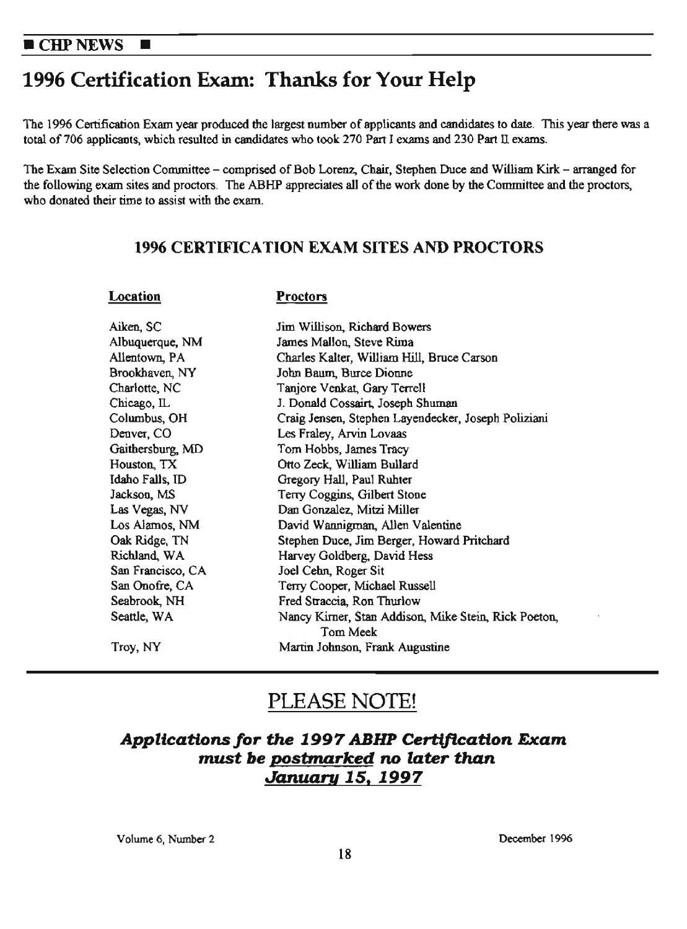# 1996 Certification Exam: Thanks for Your Help

The 1996 Certification Exam year produced the largest number of applicants and candidates to date. This year there was a total of 706 applicants, which resulted in candidates who took 270 Part I exams and 230 Part II exams.

The Exam Site Selection Committee - comprised of Bob Lorenz, Chair, Stephen Duce and William Kirk - arranged for the following exam sites and proctors. The ABHP appreciates all of the work done by the Committee and the proctors, who donated their time to assist with the exam.

## **1996 CERTIFICATION EXAM SITES AND PROCTORS**

#### **Location**

#### **Proctors**

| Aiken, SC         | Jim Willison, Richard Bowers                         |
|-------------------|------------------------------------------------------|
| Albuquerque, NM   | James Mallon, Steve Rima                             |
| Allentown, PA     | Charles Kalter, William Hill, Bruce Carson           |
| Brookhaven, NY    | John Baum, Burce Dionne                              |
| Charlotte, NC     | Tanjore Venkat, Gary Terrell                         |
| Chicago, IL       | J. Donald Cossairt, Joseph Shuman                    |
| Columbus, OH      | Craig Jensen, Stephen Layendecker, Joseph Poliziani  |
| Denver, CO        | Les Fraley, Arvin Lovaas                             |
| Gaithersburg, MD  | Tom Hobbs, James Tracy                               |
| Houston, TX       | Otto Zeck, William Bullard                           |
| Idaho Falls, ID   | Gregory Hall, Paul Ruhter                            |
| Jackson, MS       | Terry Coggins, Gilbert Stone                         |
| Las Vegas, NV     | Dan Gonzalez, Mitzi Miller                           |
| Los Alamos, NM    | David Wannigman, Allen Valentine                     |
| Oak Ridge, TN     | Stephen Duce, Jim Berger, Howard Pritchard           |
| Richland, WA      | Harvey Goldberg, David Hess                          |
| San Francisco, CA | Joel Cehn, Roger Sit                                 |
| San Onofre, CA    | Terry Cooper, Michael Russell                        |
| Seabrook, NH      | Fred Straccia, Ron Thurlow                           |
| Seattle, WA       | Nancy Kirner, Stan Addison, Mike Stein, Rick Poeton, |
|                   | Tom Meek                                             |
| Troy, NY          | Martin Johnson, Frank Augustine                      |

# PLEASE NOTE!

## **Applications for the 1997 ABHP Certification Exam** *must be postmarked no later* **than**  *January* **15, 1997**

Volume 6, Number 2 December 1996